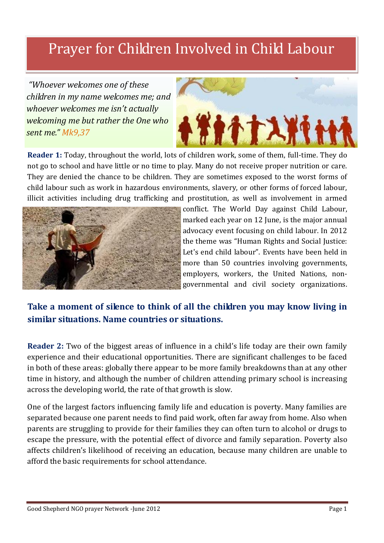# Prayer for Children Involved in Child Labour

*"Whoever welcomes one of these children in my name welcomes me; and whoever welcomes me isn't actually welcoming me but rather the One who sent me." Mk9,37*



**Reader 1:** Today, throughout the world, lots of children work, some of them, full-time. They do not go to school and have little or no time to play. Many do not receive proper nutrition or care. They are denied the chance to be children. They are sometimes exposed to the worst forms of child labour such as work in hazardous environments, slavery, or other forms of forced labour, illicit activities including drug trafficking and prostitution, as well as involvement in armed



conflict. The World Day against Child Labour, marked each year on 12 June, is the major annual advocacy event focusing on child labour. In 2012 the theme was "Human Rights and Social Justice: Let's end child labour". Events have been held in more than 50 countries involving governments, employers, workers, the United Nations, nongovernmental and civil society organizations.

## **Take a moment of silence to think of all the children you may know living in similar situations. Name countries or situations.**

**Reader 2:** Two of the biggest areas of influence in a child's life today are their own family experience and their educational opportunities. There are significant challenges to be faced in both of these areas: globally there appear to be more family breakdowns than at any other time in history, and although the number of children attending primary school is increasing across the developing world, the rate of that growth is slow.

One of the largest factors influencing family life and education is poverty. Many families are separated because one parent needs to find paid work, often far away from home. Also when parents are struggling to provide for their families they can often turn to alcohol or drugs to escape the pressure, with the potential effect of divorce and family separation. Poverty also affects children's likelihood of receiving an education, because many children are unable to afford the basic requirements for school attendance.